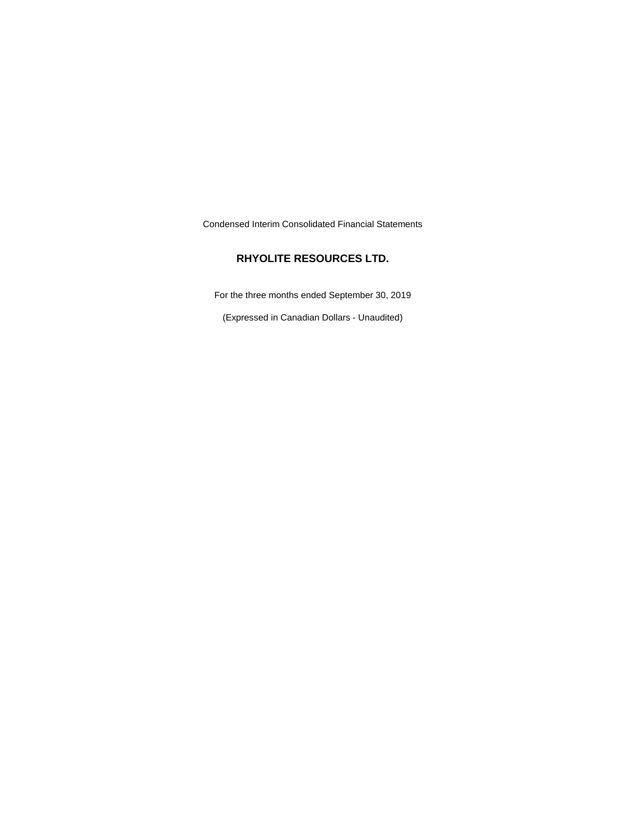Condensed Interim Consolidated Financial Statements

# **RHYOLITE RESOURCES LTD.**

For the three months ended September 30, 2019

(Expressed in Canadian Dollars - Unaudited)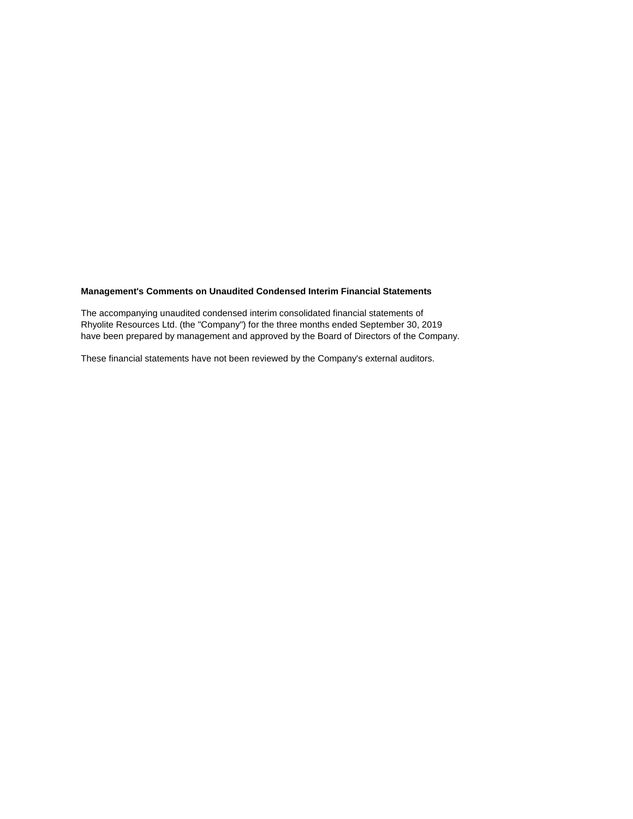# **Management's Comments on Unaudited Condensed Interim Financial Statements**

The accompanying unaudited condensed interim consolidated financial statements of Rhyolite Resources Ltd. (the "Company") for the three months ended September 30, 2019 have been prepared by management and approved by the Board of Directors of the Company.

These financial statements have not been reviewed by the Company's external auditors.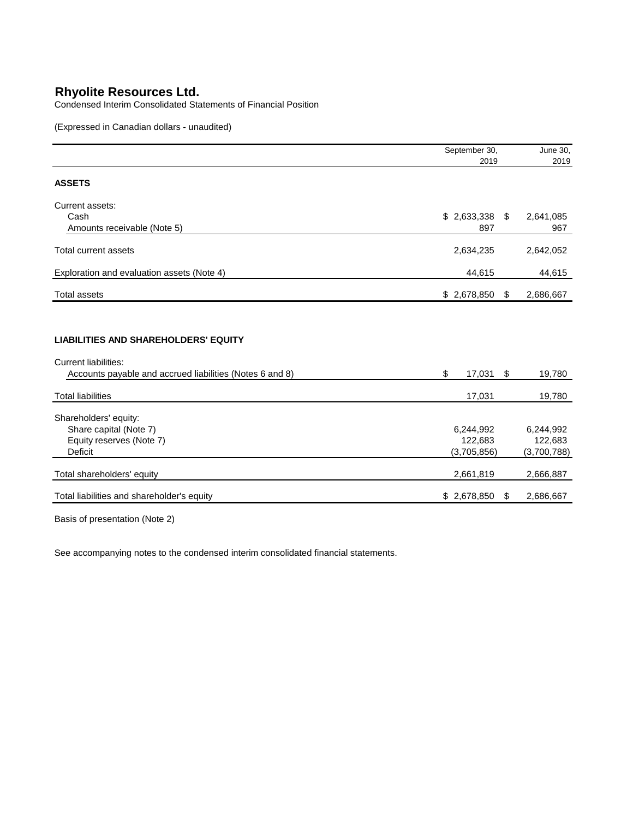Condensed Interim Consolidated Statements of Financial Position

(Expressed in Canadian dollars - unaudited)

|                                                                                                                                        | September 30,                       | June 30,                            |
|----------------------------------------------------------------------------------------------------------------------------------------|-------------------------------------|-------------------------------------|
|                                                                                                                                        | 2019                                | 2019                                |
| <b>ASSETS</b>                                                                                                                          |                                     |                                     |
| Current assets:                                                                                                                        |                                     |                                     |
| Cash<br>Amounts receivable (Note 5)                                                                                                    | $$2,633,338$ \;<br>897              | 2,641,085<br>967                    |
| Total current assets                                                                                                                   | 2,634,235                           | 2,642,052                           |
| Exploration and evaluation assets (Note 4)                                                                                             | 44,615                              | 44,615                              |
| <b>Total assets</b>                                                                                                                    | \$2,678,850                         | \$<br>2,686,667                     |
| <b>LIABILITIES AND SHAREHOLDERS' EQUITY</b><br><b>Current liabilities:</b><br>Accounts payable and accrued liabilities (Notes 6 and 8) | \$<br>17,031                        | \$<br>19,780                        |
| <b>Total liabilities</b>                                                                                                               | 17,031                              | 19,780                              |
| Shareholders' equity:<br>Share capital (Note 7)<br>Equity reserves (Note 7)<br><b>Deficit</b>                                          | 6,244,992<br>122,683<br>(3,705,856) | 6,244,992<br>122,683<br>(3,700,788) |
| Total shareholders' equity                                                                                                             | 2,661,819                           | 2,666,887                           |
| Total liabilities and shareholder's equity                                                                                             | \$2,678,850                         | \$<br>2,686,667                     |

Basis of presentation (Note 2)

See accompanying notes to the condensed interim consolidated financial statements.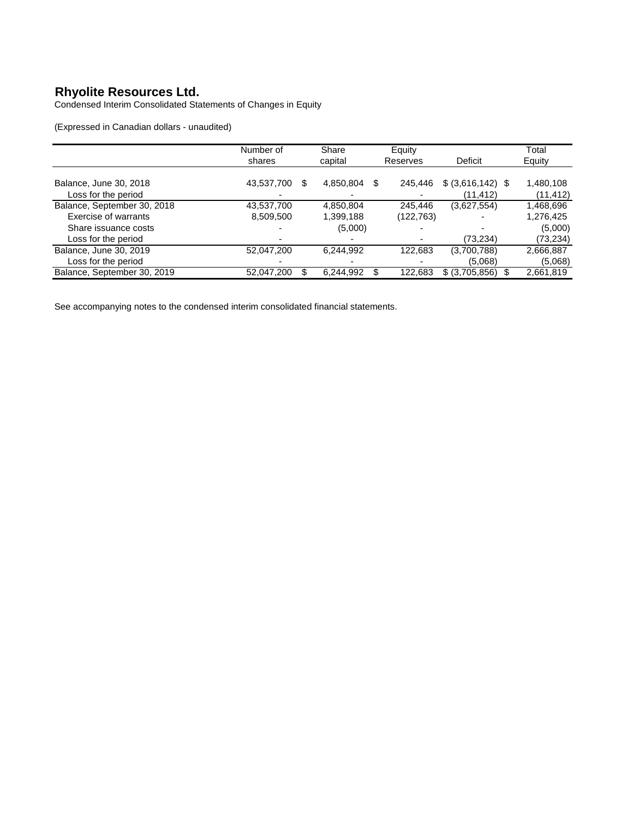Condensed Interim Consolidated Statements of Changes in Equity

(Expressed in Canadian dollars - unaudited)

|                             | Number of         | Share     | Equity        |                     | Total     |
|-----------------------------|-------------------|-----------|---------------|---------------------|-----------|
|                             | shares            | capital   | Reserves      | Deficit             | Equity    |
|                             |                   |           |               |                     |           |
| Balance, June 30, 2018      | 43,537,700<br>S   | 4,850,804 | \$<br>245,446 | $$$ (3,616,142) $$$ | 1,480,108 |
| Loss for the period         |                   |           |               | (11,412)            | (11, 412) |
| Balance, September 30, 2018 | 43,537,700        | 4,850,804 | 245.446       | (3,627,554)         | 1,468,696 |
| Exercise of warrants        | 8,509,500         | 1,399,188 | (122, 763)    |                     | 1,276,425 |
| Share issuance costs        |                   | (5,000)   |               |                     | (5,000)   |
| Loss for the period         |                   |           |               | (73,234)            | (73,234)  |
| Balance, June 30, 2019      | 52,047,200        | 6.244.992 | 122,683       | (3,700,788)         | 2,666,887 |
| Loss for the period         |                   |           |               | (5.068)             | (5,068)   |
| Balance, September 30, 2019 | 52,047,200<br>\$. | 6,244,992 | 122.683<br>S  | \$ (3,705,856)      | 2,661,819 |

See accompanying notes to the condensed interim consolidated financial statements.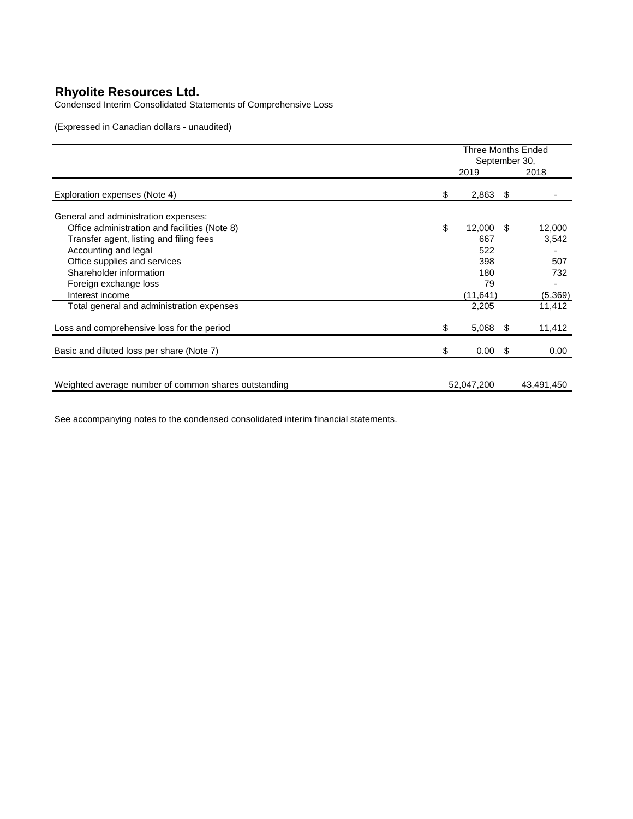Condensed Interim Consolidated Statements of Comprehensive Loss

(Expressed in Canadian dollars - unaudited)

|                                                      | <b>Three Months Ended</b><br>September 30, |             |    |            |
|------------------------------------------------------|--------------------------------------------|-------------|----|------------|
|                                                      |                                            | 2019        |    | 2018       |
| Exploration expenses (Note 4)                        | \$                                         | $2,863$ \$  |    |            |
| General and administration expenses:                 |                                            |             |    |            |
| Office administration and facilities (Note 8)        | \$                                         | $12,000$ \$ |    | 12,000     |
| Transfer agent, listing and filing fees              |                                            | 667         |    | 3,542      |
| Accounting and legal                                 |                                            | 522         |    |            |
| Office supplies and services                         |                                            | 398         |    | 507        |
| Shareholder information                              |                                            | 180         |    | 732        |
| Foreign exchange loss                                |                                            | 79          |    |            |
| Interest income                                      |                                            | (11,641)    |    | (5,369)    |
| Total general and administration expenses            |                                            | 2,205       |    | 11,412     |
| Loss and comprehensive loss for the period           | \$                                         | $5,068$ \$  |    | 11,412     |
| Basic and diluted loss per share (Note 7)            | \$                                         | 0.00        | \$ | 0.00       |
|                                                      |                                            |             |    |            |
| Weighted average number of common shares outstanding |                                            | 52,047,200  |    | 43,491,450 |

See accompanying notes to the condensed consolidated interim financial statements.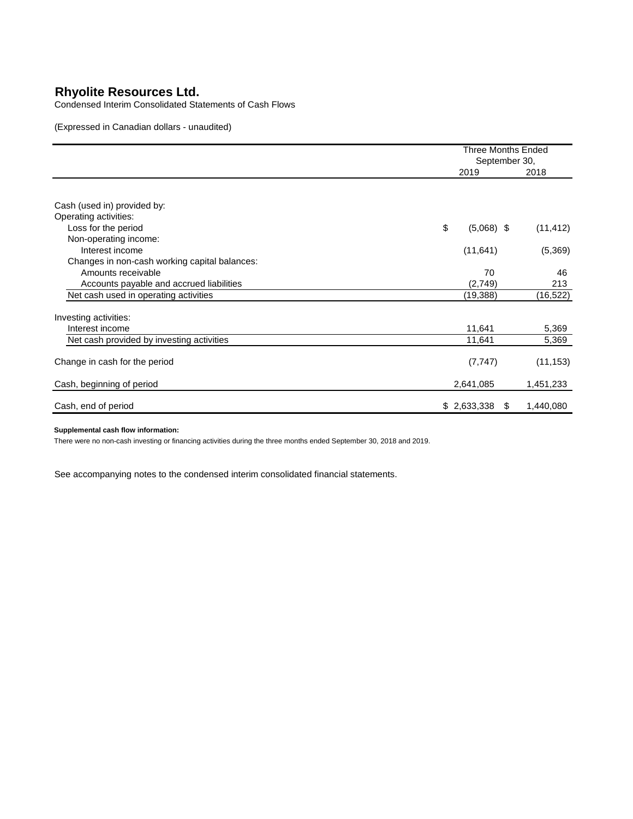Condensed Interim Consolidated Statements of Cash Flows

(Expressed in Canadian dollars - unaudited)

|                                               | <b>Three Months Ended</b><br>September 30, |                  |  |
|-----------------------------------------------|--------------------------------------------|------------------|--|
|                                               | 2019                                       | 2018             |  |
|                                               |                                            |                  |  |
| Cash (used in) provided by:                   |                                            |                  |  |
| Operating activities:                         |                                            |                  |  |
| Loss for the period                           | \$<br>$(5,068)$ \$                         | (11, 412)        |  |
| Non-operating income:                         |                                            |                  |  |
| Interest income                               | (11, 641)                                  | (5,369)          |  |
| Changes in non-cash working capital balances: |                                            |                  |  |
| Amounts receivable                            | 70                                         | 46               |  |
| Accounts payable and accrued liabilities      | (2,749)                                    | 213              |  |
| Net cash used in operating activities         | (19,388)                                   | (16, 522)        |  |
| Investing activities:                         |                                            |                  |  |
| Interest income                               | 11,641                                     | 5,369            |  |
| Net cash provided by investing activities     | 11,641                                     | 5,369            |  |
| Change in cash for the period                 | (7, 747)                                   | (11, 153)        |  |
| Cash, beginning of period                     | 2,641,085                                  | 1,451,233        |  |
| Cash, end of period                           | \$2,633,338                                | 1,440,080<br>-SS |  |

### **Supplemental cash flow information:**

There were no non-cash investing or financing activities during the three months ended September 30, 2018 and 2019.

See accompanying notes to the condensed interim consolidated financial statements.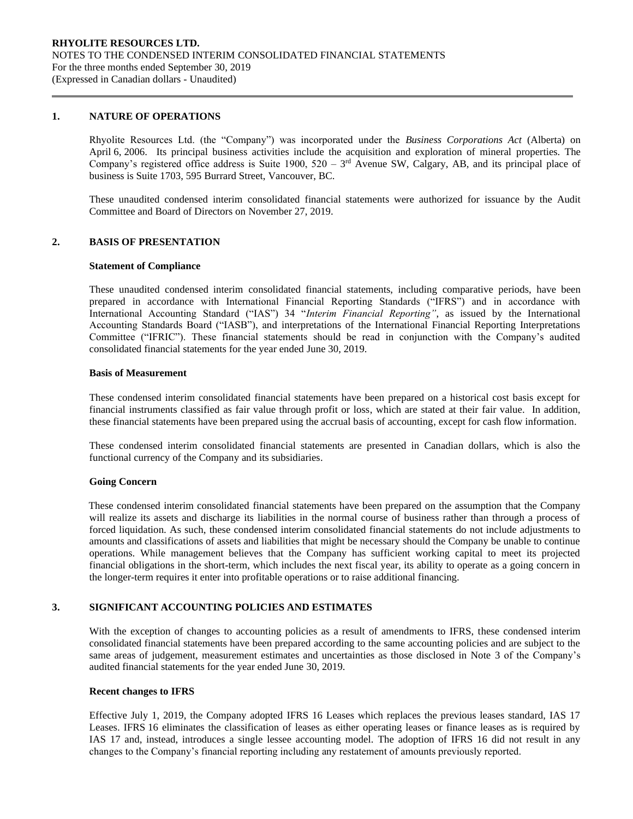## **1. NATURE OF OPERATIONS**

Rhyolite Resources Ltd. (the "Company") was incorporated under the *Business Corporations Act* (Alberta) on April 6, 2006. Its principal business activities include the acquisition and exploration of mineral properties. The Company's registered office address is Suite 1900,  $520 - 3<sup>rd</sup>$  Avenue SW, Calgary, AB, and its principal place of business is Suite 1703, 595 Burrard Street, Vancouver, BC.

These unaudited condensed interim consolidated financial statements were authorized for issuance by the Audit Committee and Board of Directors on November 27, 2019.

## **2. BASIS OF PRESENTATION**

#### **Statement of Compliance**

These unaudited condensed interim consolidated financial statements, including comparative periods, have been prepared in accordance with International Financial Reporting Standards ("IFRS") and in accordance with International Accounting Standard ("IAS") 34 "*Interim Financial Reporting"*, as issued by the International Accounting Standards Board ("IASB"), and interpretations of the International Financial Reporting Interpretations Committee ("IFRIC"). These financial statements should be read in conjunction with the Company's audited consolidated financial statements for the year ended June 30, 2019.

#### **Basis of Measurement**

These condensed interim consolidated financial statements have been prepared on a historical cost basis except for financial instruments classified as fair value through profit or loss, which are stated at their fair value. In addition, these financial statements have been prepared using the accrual basis of accounting, except for cash flow information.

These condensed interim consolidated financial statements are presented in Canadian dollars, which is also the functional currency of the Company and its subsidiaries.

#### **Going Concern**

These condensed interim consolidated financial statements have been prepared on the assumption that the Company will realize its assets and discharge its liabilities in the normal course of business rather than through a process of forced liquidation. As such, these condensed interim consolidated financial statements do not include adjustments to amounts and classifications of assets and liabilities that might be necessary should the Company be unable to continue operations. While management believes that the Company has sufficient working capital to meet its projected financial obligations in the short-term, which includes the next fiscal year, its ability to operate as a going concern in the longer-term requires it enter into profitable operations or to raise additional financing.

# **3. SIGNIFICANT ACCOUNTING POLICIES AND ESTIMATES**

With the exception of changes to accounting policies as a result of amendments to IFRS, these condensed interim consolidated financial statements have been prepared according to the same accounting policies and are subject to the same areas of judgement, measurement estimates and uncertainties as those disclosed in Note 3 of the Company's audited financial statements for the year ended June 30, 2019.

#### **Recent changes to IFRS**

Effective July 1, 2019, the Company adopted IFRS 16 Leases which replaces the previous leases standard, IAS 17 Leases. IFRS 16 eliminates the classification of leases as either operating leases or finance leases as is required by IAS 17 and, instead, introduces a single lessee accounting model. The adoption of IFRS 16 did not result in any changes to the Company's financial reporting including any restatement of amounts previously reported.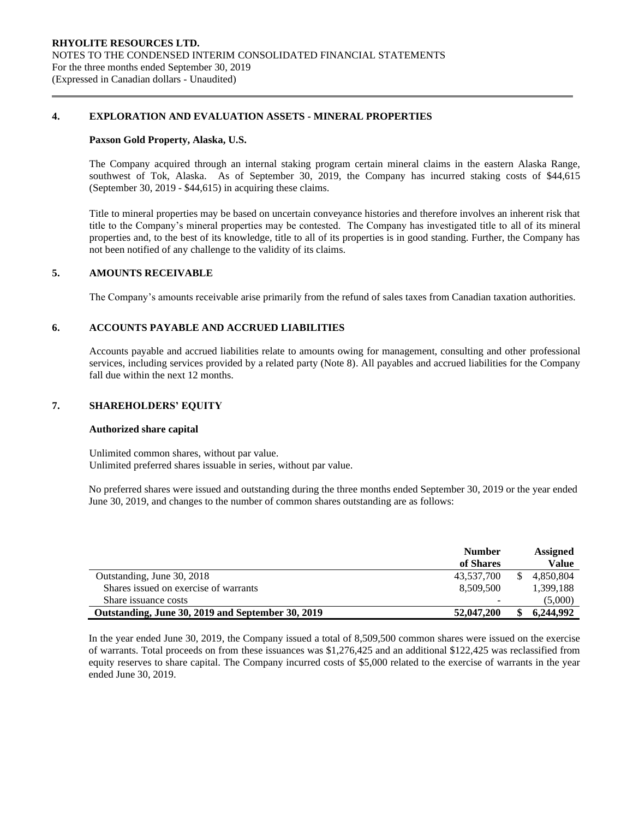# **4. EXPLORATION AND EVALUATION ASSETS - MINERAL PROPERTIES**

### **Paxson Gold Property, Alaska, U.S.**

The Company acquired through an internal staking program certain mineral claims in the eastern Alaska Range, southwest of Tok, Alaska. As of September 30, 2019, the Company has incurred staking costs of \$44,615 (September 30, 2019 - \$44,615) in acquiring these claims.

Title to mineral properties may be based on uncertain conveyance histories and therefore involves an inherent risk that title to the Company's mineral properties may be contested. The Company has investigated title to all of its mineral properties and, to the best of its knowledge, title to all of its properties is in good standing. Further, the Company has not been notified of any challenge to the validity of its claims.

# **5. AMOUNTS RECEIVABLE**

The Company's amounts receivable arise primarily from the refund of sales taxes from Canadian taxation authorities.

# **6. ACCOUNTS PAYABLE AND ACCRUED LIABILITIES**

Accounts payable and accrued liabilities relate to amounts owing for management, consulting and other professional services, including services provided by a related party (Note 8). All payables and accrued liabilities for the Company fall due within the next 12 months.

# **7. SHAREHOLDERS' EQUITY**

#### **Authorized share capital**

Unlimited common shares, without par value. Unlimited preferred shares issuable in series, without par value.

No preferred shares were issued and outstanding during the three months ended September 30, 2019 or the year ended June 30, 2019, and changes to the number of common shares outstanding are as follows:

|                                                   | <b>Number</b> | <b>Assigned</b> |
|---------------------------------------------------|---------------|-----------------|
|                                                   | of Shares     | Value           |
| Outstanding, June 30, 2018                        | 43.537.700    | 4.850.804       |
| Shares issued on exercise of warrants             | 8.509.500     | 1.399.188       |
| Share issuance costs                              | -             | (5,000)         |
| Outstanding, June 30, 2019 and September 30, 2019 | 52,047,200    | 6,244,992       |

In the year ended June 30, 2019, the Company issued a total of 8,509,500 common shares were issued on the exercise of warrants. Total proceeds on from these issuances was \$1,276,425 and an additional \$122,425 was reclassified from equity reserves to share capital. The Company incurred costs of \$5,000 related to the exercise of warrants in the year ended June 30, 2019.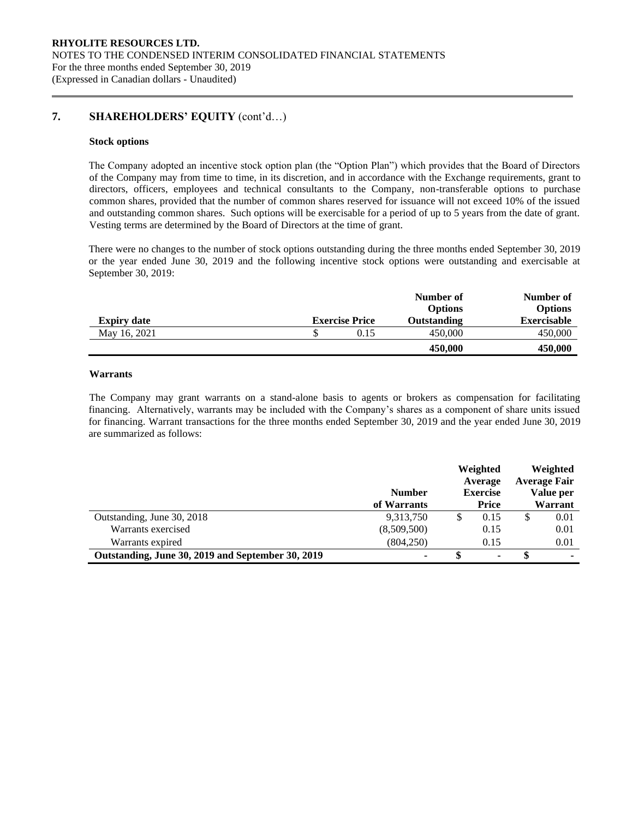# **7. SHAREHOLDERS' EQUITY** (cont'd…)

#### **Stock options**

The Company adopted an incentive stock option plan (the "Option Plan") which provides that the Board of Directors of the Company may from time to time, in its discretion, and in accordance with the Exchange requirements, grant to directors, officers, employees and technical consultants to the Company, non-transferable options to purchase common shares, provided that the number of common shares reserved for issuance will not exceed 10% of the issued and outstanding common shares. Such options will be exercisable for a period of up to 5 years from the date of grant. Vesting terms are determined by the Board of Directors at the time of grant.

There were no changes to the number of stock options outstanding during the three months ended September 30, 2019 or the year ended June 30, 2019 and the following incentive stock options were outstanding and exercisable at September 30, 2019:

|                    |                       | Number of<br><b>Options</b> | Number of<br><b>Options</b> |
|--------------------|-----------------------|-----------------------------|-----------------------------|
| <b>Expiry date</b> | <b>Exercise Price</b> | <b>Outstanding</b>          | <b>Exercisable</b>          |
| May 16, 2021       | 0.15                  | 450,000                     | 450,000                     |
|                    |                       | 450,000                     | 450,000                     |

# **Warrants**

The Company may grant warrants on a stand-alone basis to agents or brokers as compensation for facilitating financing. Alternatively, warrants may be included with the Company's shares as a component of share units issued for financing. Warrant transactions for the three months ended September 30, 2019 and the year ended June 30, 2019 are summarized as follows:

|                                                   | <b>Number</b><br>of Warrants |   | Weighted<br>Average<br><b>Exercise</b><br><b>Price</b> | Weighted<br><b>Average Fair</b><br>Value per<br>Warrant |
|---------------------------------------------------|------------------------------|---|--------------------------------------------------------|---------------------------------------------------------|
| Outstanding, June 30, 2018                        | 9,313,750                    | S | 0.15                                                   | 0.01                                                    |
| Warrants exercised                                | (8,509,500)                  |   | 0.15                                                   | 0.01                                                    |
| Warrants expired                                  | (804, 250)                   |   | 0.15                                                   | 0.01                                                    |
| Outstanding, June 30, 2019 and September 30, 2019 | ۰                            |   | ٠                                                      | ۰                                                       |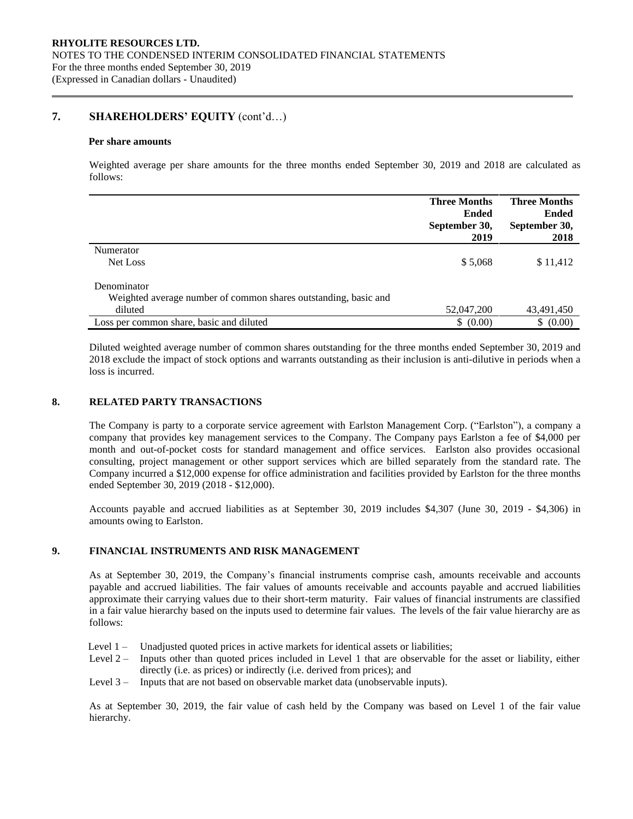# **7. SHAREHOLDERS' EQUITY** (cont'd…)

#### **Per share amounts**

Weighted average per share amounts for the three months ended September 30, 2019 and 2018 are calculated as follows:

|                                                                 | <b>Three Months</b><br><b>Ended</b><br>September 30, | <b>Three Months</b><br><b>Ended</b><br>September 30, |
|-----------------------------------------------------------------|------------------------------------------------------|------------------------------------------------------|
|                                                                 | 2019                                                 | 2018                                                 |
| Numerator                                                       |                                                      |                                                      |
| Net Loss                                                        | \$5,068                                              | \$11,412                                             |
| Denominator                                                     |                                                      |                                                      |
| Weighted average number of common shares outstanding, basic and |                                                      |                                                      |
| diluted                                                         | 52,047,200                                           | 43,491,450                                           |
| Loss per common share, basic and diluted                        | \$ (0.00)                                            | \$ (0.00)                                            |

Diluted weighted average number of common shares outstanding for the three months ended September 30, 2019 and 2018 exclude the impact of stock options and warrants outstanding as their inclusion is anti-dilutive in periods when a loss is incurred.

# **8. RELATED PARTY TRANSACTIONS**

The Company is party to a corporate service agreement with Earlston Management Corp. ("Earlston"), a company a company that provides key management services to the Company. The Company pays Earlston a fee of \$4,000 per month and out-of-pocket costs for standard management and office services. Earlston also provides occasional consulting, project management or other support services which are billed separately from the standard rate. The Company incurred a \$12,000 expense for office administration and facilities provided by Earlston for the three months ended September 30, 2019 (2018 - \$12,000).

Accounts payable and accrued liabilities as at September 30, 2019 includes \$4,307 (June 30, 2019 - \$4,306) in amounts owing to Earlston.

# **9. FINANCIAL INSTRUMENTS AND RISK MANAGEMENT**

As at September 30, 2019, the Company's financial instruments comprise cash, amounts receivable and accounts payable and accrued liabilities. The fair values of amounts receivable and accounts payable and accrued liabilities approximate their carrying values due to their short-term maturity. Fair values of financial instruments are classified in a fair value hierarchy based on the inputs used to determine fair values. The levels of the fair value hierarchy are as follows:

- Level 1 Unadjusted quoted prices in active markets for identical assets or liabilities;
- Level 2 Inputs other than quoted prices included in Level 1 that are observable for the asset or liability, either directly (i.e. as prices) or indirectly (i.e. derived from prices); and
- Level 3 Inputs that are not based on observable market data (unobservable inputs).

As at September 30, 2019, the fair value of cash held by the Company was based on Level 1 of the fair value hierarchy.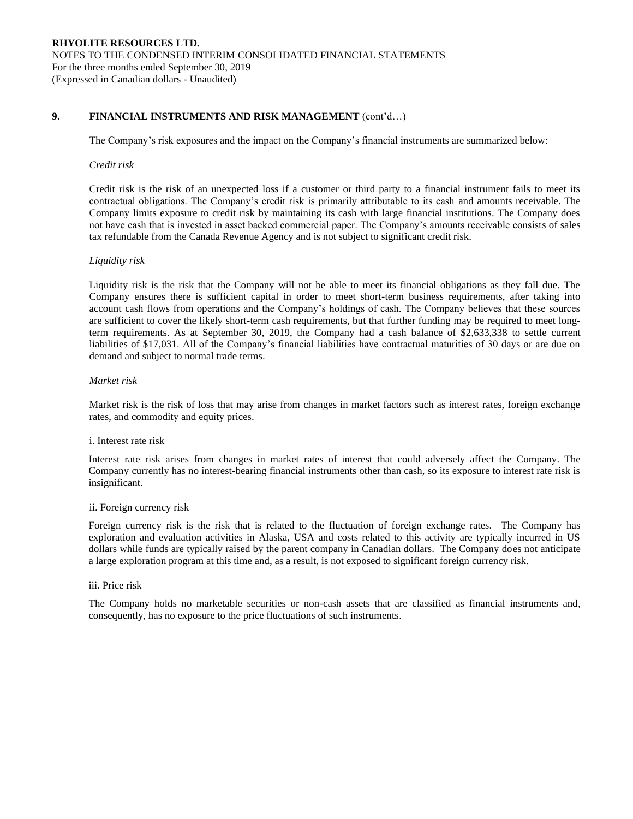# **9. FINANCIAL INSTRUMENTS AND RISK MANAGEMENT** (cont'd…)

The Company's risk exposures and the impact on the Company's financial instruments are summarized below:

### *Credit risk*

Credit risk is the risk of an unexpected loss if a customer or third party to a financial instrument fails to meet its contractual obligations. The Company's credit risk is primarily attributable to its cash and amounts receivable. The Company limits exposure to credit risk by maintaining its cash with large financial institutions. The Company does not have cash that is invested in asset backed commercial paper. The Company's amounts receivable consists of sales tax refundable from the Canada Revenue Agency and is not subject to significant credit risk.

#### *Liquidity risk*

Liquidity risk is the risk that the Company will not be able to meet its financial obligations as they fall due. The Company ensures there is sufficient capital in order to meet short-term business requirements, after taking into account cash flows from operations and the Company's holdings of cash. The Company believes that these sources are sufficient to cover the likely short-term cash requirements, but that further funding may be required to meet longterm requirements. As at September 30, 2019, the Company had a cash balance of \$2,633,338 to settle current liabilities of \$17,031. All of the Company's financial liabilities have contractual maturities of 30 days or are due on demand and subject to normal trade terms.

# *Market risk*

Market risk is the risk of loss that may arise from changes in market factors such as interest rates, foreign exchange rates, and commodity and equity prices.

#### i. Interest rate risk

Interest rate risk arises from changes in market rates of interest that could adversely affect the Company. The Company currently has no interest-bearing financial instruments other than cash, so its exposure to interest rate risk is insignificant.

#### ii. Foreign currency risk

Foreign currency risk is the risk that is related to the fluctuation of foreign exchange rates. The Company has exploration and evaluation activities in Alaska, USA and costs related to this activity are typically incurred in US dollars while funds are typically raised by the parent company in Canadian dollars. The Company does not anticipate a large exploration program at this time and, as a result, is not exposed to significant foreign currency risk.

### iii. Price risk

The Company holds no marketable securities or non-cash assets that are classified as financial instruments and, consequently, has no exposure to the price fluctuations of such instruments.